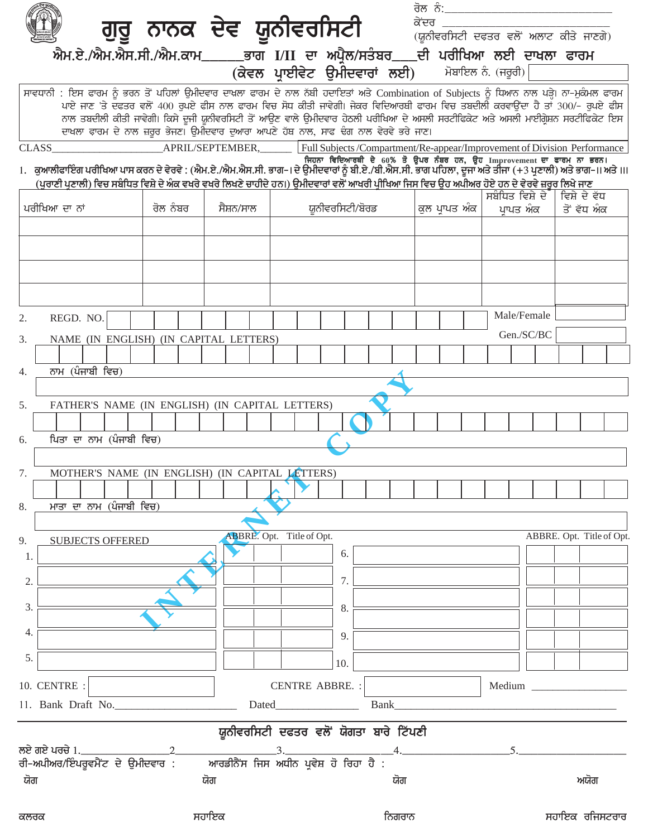|                                                                                                                                                                                                          |          |           |                                  |                                                                                                                                   | <u>ਰੋਲ ਨੰ: __________________________</u> |                           |
|----------------------------------------------------------------------------------------------------------------------------------------------------------------------------------------------------------|----------|-----------|----------------------------------|-----------------------------------------------------------------------------------------------------------------------------------|-------------------------------------------|---------------------------|
|                                                                                                                                                                                                          |          |           |                                  |                                                                                                                                   |                                           |                           |
| ਐਮ.ਏ./ਐਮ.ਐਸ.ਸੀ./ਐਮ.ਕਾਮ_____ਭਾਗ I/II ਦਾ ਅਪ੍ਰੈਲ/ਸਤੰਬਰ___ਦੀ ਪਰੀਖਿਆ ਲਈ ਦਾਖਲਾ ਫਾਰਮ<br>(ਕੇਵਲ ਪ੍ਰਾਈਵੇਟ ਉਮੀਦਵਾਰਾਂ ਲਈ) ਮੋਬਾਇਲ ਨੇ (ਜਰੂਰੀ)                                                                          |          |           |                                  |                                                                                                                                   |                                           |                           |
|                                                                                                                                                                                                          |          |           |                                  |                                                                                                                                   |                                           |                           |
| ਸਾਵਧਾਨੀ : ਇਸ ਫਾਰਮ ਨੂੰ ਭਰਨ ਤੋਂ ਪਹਿਲਾਂ ਉਮੀਦਵਾਰ ਦਾਖ਼ਲਾ ਫਾਰਮ ਦੇ ਨਾਲ ਨੱਬੀ ਹਦਾਇਤਾਂ ਅਤੇ Combination of Subjects ਨੂੰ ਧਿਆਨ ਨਾਲ ਪੜ੍ਹੇ। ਨਾ-ਮੁਕੰਮਲ ਫਾਰਮ                                                              |          |           |                                  | ਪਾਏ ਜਾਣ 'ਤੇ ਦਫਤਰ ਵਲੋਂ 400 ਰੁਪਏ ਫੀਸ ਨਾਲ ਫਾਰਮ ਵਿਚ ਸੋਧ ਕੀਤੀ ਜਾਵੇਗੀ। ਜੇਕਰ ਵਿਦਿਆਰਥੀ ਫਾਰਮ ਵਿਚ ਤਬਦੀਲੀ ਕਰਵਾਉਂਦਾ ਹੈ ਤਾਂ 300/- ਰੁਪਏ ਫੀਸ     |                                           |                           |
|                                                                                                                                                                                                          |          |           |                                  | ਨਾਲ ਤਬਦੀਲੀ ਕੀਤੀ ਜਾਵੇਗੀ। ਕਿਸੇ ਦੂਜੀ ਯੂਨੀਵਰਸਿਟੀ ਤੋਂ ਆਉਣ ਵਾਲੇ ਉਮੀਦਵਾਰ ਹੇਠਲੀ ਪਰੀਖਿਆ ਦੇ ਅਸਲੀ ਸਰਟੀਫਿਕੇਟ ਅਤੇ ਅਸਲੀ ਮਾਈਗ੍ਰੇਸ਼ਨ ਸਰਟੀਫਿਕੇਟ ਇਸ |                                           |                           |
|                                                                                                                                                                                                          |          |           |                                  | ਦਾਖਲਾ ਫ਼ਾਰਮ ਦੇ ਨਾਲ ਜ਼ਰੂਰ ਭੇਜਣ। ਉਮੀਦਵਾਰ ਦੁਆਰਾ ਆਪਣੇ ਹੱਥ ਨਾਲ, ਸਾਫ ਢੰਗ ਨਾਲ ਵੇਰਵੇ ਭਰੇ ਜਾਣ।                                             |                                           |                           |
| <b>CLASS</b><br>ਜਿਹਨਾ ਵਿਦਿਆਰਥੀ ਦੇ 60% ਤੋਂ ਉਪਰ ਨੰਬਰ ਹਨ, ਉਹ Improvement ਦਾ ਫਾਰਮ ਨਾ ਭਰਨ।<br>ਜਿਹਨਾਂ ਹਨ, ਕੁਆਨੀਫਾਇੰਗ ਪਰੀਖਿਆ ਪਾਸ ਕਰਨ ਦੇ ਵੇਰਵੇ : (ਐਮ.ਏ./ਐਮ.ਐਸ.ਸੀ. ਭਾਗ-। ਦੇ ਉਮੀਦਵਾਰਾਂ ਨੂੰ ਬੀ.ਏ./ਬੀ.ਐਸ.ਸੀ. ਭਾਗ ਪਹਿ |          |           |                                  | APRIL/SEPTEMBER, Full Subjects/Compartment/Re-appear/Improvement of Division Performance                                          |                                           |                           |
| (ਪੁਰਾਣੀ ਪੁਣਾਲੀ) ਵਿਚ ਸਬੰਧਿਤ ਵਿਸ਼ੇ ਦੇ ਅੰਕ ਵਖਰੇ ਵਖਰੇ ਲਿਖਣੇ ਚਾਹੀਦੇ ਹਨ।) ਉਮੀਦਵਾਰਾਂ ਵਲੋਂ ਆਖਰੀ ਪ੍ਰੀਖਿਆ ਜਿਸ ਵਿਚ ਉਹ ਅਪੀਅਰ ਹੋਏ ਹਨ ਦੇ ਵੇਰਵੇ ਜ਼ਰੂਰ ਲਿਖੇ ਜਾਣ                                                          |          |           |                                  |                                                                                                                                   |                                           |                           |
|                                                                                                                                                                                                          |          |           |                                  |                                                                                                                                   | ਸਬੰਧਿਤ ਵਿਸ਼ੇ ਦੇ                           | ਵਿਸ਼ੇ ਦੇ ਵੱਧ              |
| ਪਰੀਖਿਆ ਦਾ ਨਾਂ                                                                                                                                                                                            | ਰੋਲ ਨੰਬਰ | ਸੈਸ਼ਨ/ਸਾਲ |                                  | ਯੂਨੀਵਰਸਿਟੀ/ਬੋਰਡ                                                                                                                   | ਕੁਲ ਪ੍ਰਾਪਤ ਅੰਕ ∣ ਪਾਪਤ ਅੰਕ                 | ਤੋਂ ਵੱਧ ਅੰਕ               |
|                                                                                                                                                                                                          |          |           |                                  |                                                                                                                                   |                                           |                           |
|                                                                                                                                                                                                          |          |           |                                  |                                                                                                                                   |                                           |                           |
|                                                                                                                                                                                                          |          |           |                                  |                                                                                                                                   |                                           |                           |
|                                                                                                                                                                                                          |          |           |                                  |                                                                                                                                   |                                           |                           |
| REGD. NO.<br>2.                                                                                                                                                                                          |          |           |                                  |                                                                                                                                   | Male/Female                               |                           |
| NAME (IN ENGLISH) (IN CAPITAL LETTERS)<br>3.                                                                                                                                                             |          |           |                                  |                                                                                                                                   | Gen./SC/BC                                |                           |
|                                                                                                                                                                                                          |          |           |                                  |                                                                                                                                   |                                           |                           |
| ਨਾਮ (ਪੰਜਾਬੀ ਵਿਚ)<br>4.                                                                                                                                                                                   |          |           |                                  |                                                                                                                                   |                                           |                           |
|                                                                                                                                                                                                          |          |           |                                  |                                                                                                                                   |                                           |                           |
| FATHER'S NAME (IN ENGLISH) (IN CAPITAL LETTERS)<br>5.                                                                                                                                                    |          |           |                                  |                                                                                                                                   |                                           |                           |
|                                                                                                                                                                                                          |          |           |                                  |                                                                                                                                   |                                           |                           |
| ਪਿਤਾ ਦਾ ਨਾਮ (ਪੰਜਾਬੀ ਵਿਚ)<br>6.                                                                                                                                                                           |          |           |                                  |                                                                                                                                   |                                           |                           |
| MOTHER'S NAME (IN ENGLISH) (IN CAPITAL LETTERS)<br>7.                                                                                                                                                    |          |           |                                  |                                                                                                                                   |                                           |                           |
|                                                                                                                                                                                                          |          |           |                                  |                                                                                                                                   |                                           |                           |
| ਮਾਤਾ ਦਾ ਨਾਮ (ਪੰਜਾਬੀ ਵਿਚ)<br>8.                                                                                                                                                                           |          |           |                                  |                                                                                                                                   |                                           |                           |
|                                                                                                                                                                                                          |          |           |                                  |                                                                                                                                   |                                           |                           |
| <b>SUBJECTS OFFERED</b><br>9.                                                                                                                                                                            |          |           | <b>ABBRE.</b> Opt. Title of Opt. | 6.                                                                                                                                |                                           | ABBRE. Opt. Title of Opt. |
| 1.                                                                                                                                                                                                       |          |           |                                  |                                                                                                                                   |                                           |                           |
| 2.                                                                                                                                                                                                       |          |           |                                  | 7.                                                                                                                                |                                           |                           |
| 3.                                                                                                                                                                                                       |          |           |                                  | 8.                                                                                                                                |                                           |                           |
|                                                                                                                                                                                                          |          |           |                                  |                                                                                                                                   |                                           |                           |
| 4.                                                                                                                                                                                                       |          |           |                                  | 9.                                                                                                                                |                                           |                           |
| 5.                                                                                                                                                                                                       |          |           |                                  | 10.                                                                                                                               |                                           |                           |
| 10. CENTRE :                                                                                                                                                                                             |          |           | <b>CENTRE ABBRE.:</b>            |                                                                                                                                   |                                           |                           |
| 11. Bank Draft No.                                                                                                                                                                                       |          |           | Dated <b>Dates and Dates</b>     | Bank                                                                                                                              |                                           |                           |
|                                                                                                                                                                                                          |          |           |                                  |                                                                                                                                   |                                           |                           |
| ਲਏ ਗਏ ਪਰਚੇ 1._                                                                                                                                                                                           |          |           |                                  | ਯੂਨੀਵਰਸਿਟੀ ਦਫਤਰ ਵਲੋਂ ਯੋਗਤਾ ਬਾਰੇ ਟਿੱਪਣੀ                                                                                            |                                           |                           |
| ਰੀ-ਅਪੀਅਰ/ਇੰਪਰੂਵਮੈਂਟ ਦੇ ਉਮੀਦਵਾਰ :                                                                                                                                                                         |          |           |                                  | <u>ਆਰਡੀਨੈਂਸ ਜਿਸ ਅਧੀਨ ਪ੍ਰਵੇਸ਼ ਹੋ ਰਿਹਾ ਹੈ :</u>                                                                                     |                                           |                           |
| ਯੋਗ                                                                                                                                                                                                      |          | ਯੋਗ       |                                  | ਯੋਗ                                                                                                                               |                                           | ਅਯੋਗ                      |
|                                                                                                                                                                                                          |          |           |                                  |                                                                                                                                   |                                           |                           |

ਸਹਾਇਕ

ਸਹਾਇਕ ਰਜਿਸਟਰਾਰ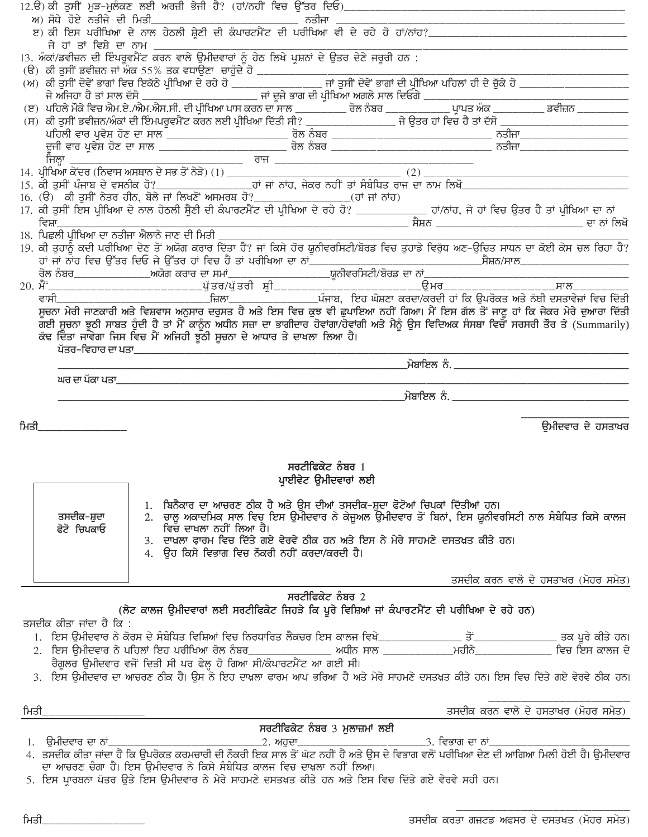| ਅ) ਸੋਧੇ ਹੋਏ ਨਤੀਜੇ ਦੀ ਮਿਤੀ  |                         | ਅ) ਸੋਧੇ ਹੋਏ ਨਤੀਜੇ ਦੀ ਮਿਤ <u>ੀ ਵਿੱਚ ਵਾਲ ਵਾਲ ਵਿੱਚ ਵਿੱਚ ਹੋਇਆ ਹੈ। ਇਸ ਵਿੱਚ ਵਿੱਚ ਹੋਇਆ ਹੈ ਅਤੇ ਹੋਇਆ ਹੈ ਅਤੇ ਹੋਏ ਨਤੀਜੇ ਦੀ ਮਿਤੀ<br/>ਇਹ ਕੀ ਇਸ ਪਰੀਖਿਆ ਦੇ ਨਾਲ ਹੇਠਲੀ ਸ਼੍ਰੇਣੀ ਦੀ ਕੰਪਾਰਟਮੈਂਟ ਦੀ ਪਰੀਖਿਆ ਵੀ ਦੇ ਰਹੇ ਹੋ ਹਾਂ/ਨਾਂਹ?________________________</u> |                               |                                                                                         |                                      |
|----------------------------|-------------------------|------------------------------------------------------------------------------------------------------------------------------------------------------------------------------------------------------------------------------------------|-------------------------------|-----------------------------------------------------------------------------------------|--------------------------------------|
|                            | ਜੇ ਹਾਂ ਤਾਂ ਵਿਸ਼ੇ ਦਾ ਨਾਮ |                                                                                                                                                                                                                                          |                               |                                                                                         |                                      |
|                            |                         |                                                                                                                                                                                                                                          |                               |                                                                                         |                                      |
|                            |                         |                                                                                                                                                                                                                                          |                               |                                                                                         |                                      |
|                            |                         |                                                                                                                                                                                                                                          |                               |                                                                                         |                                      |
|                            |                         |                                                                                                                                                                                                                                          |                               |                                                                                         |                                      |
|                            |                         |                                                                                                                                                                                                                                          |                               |                                                                                         |                                      |
|                            |                         |                                                                                                                                                                                                                                          |                               |                                                                                         |                                      |
|                            |                         |                                                                                                                                                                                                                                          |                               |                                                                                         |                                      |
| ਜਿਲ੍ਹਾ                     |                         |                                                                                                                                                                                                                                          |                               |                                                                                         |                                      |
|                            |                         |                                                                                                                                                                                                                                          |                               |                                                                                         |                                      |
|                            |                         |                                                                                                                                                                                                                                          |                               |                                                                                         |                                      |
|                            |                         |                                                                                                                                                                                                                                          |                               |                                                                                         |                                      |
|                            |                         |                                                                                                                                                                                                                                          |                               |                                                                                         |                                      |
|                            |                         | 18. ਪਿਛਲੀ ਪੀਖਿਆ ਦਾ ਨਤੀਜਾ ਐਲਾਨੇ ਜਾਣ ਦੀ ਮਿਤੀ ___________                                                                                                                                                                                   |                               |                                                                                         |                                      |
|                            |                         | 19. ਕੀ ਤੁਹਾਨੂੰ ਕਦੀ ਪਰੀਖਿਆ ਦੇਣ ਤੋਂ ਅਯੋਗ ਕਰਾਰ ਦਿੱਤਾ ਹੈ? ਜਾਂ ਕਿਸੇ ਹੋਰ ਯੂਨੀਵਰਸਿਟੀ/ਬੋਰਡ ਵਿਚ ਤੁਹਾਡੇ ਵਿਰੁੱਧ ਅਣ-ਉਚਿਤ ਸਾਧਨ ਦਾ ਕੋਈ ਕੇਸ ਚਲ ਰਿਹਾ ਹੈ?                                                                                                 |                               |                                                                                         |                                      |
|                            |                         |                                                                                                                                                                                                                                          |                               |                                                                                         |                                      |
|                            |                         |                                                                                                                                                                                                                                          |                               |                                                                                         |                                      |
|                            |                         |                                                                                                                                                                                                                                          |                               |                                                                                         |                                      |
|                            |                         | ਸੁਚਨਾ ਮੇਰੀ ਜਾਣਕਾਰੀ ਅਤੇ ਵਿਸ਼ਵਾਸ ਅਨੁਸਾਰ ਦਰੁਸਤ ਹੈ ਅਤੇ ਇਸ ਵਿਚ ਕੁਝ ਵੀ ਛੁਪਾਇਆ ਨਹੀਂ ਗਿਆ। ਮੈਂ ਇਸ ਗੱਲ ਤੋਂ ਜਾਣੂ ਹਾਂ ਕਿ ਜੇਕਰ ਮੇਰੇ ਦੁਆਰਾ ਦਿੱਤੀ                                                                                                       |                               |                                                                                         |                                      |
|                            |                         | ਗਈ ਸੂਚਨਾ ਝੂਠੀ ਸਾਬਤ ਹੁੰਦੀ ਹੈ ਤਾਂ ਮੈਂ ਕਾਨੂੰਨ ਅਧੀਨ ਸਜ਼ਾ ਦਾ ਭਾਗੀਦਾਰ ਹੋਵਾਂਗਾ/ਹੋਵਾਂਗੀ ਅਤੇ ਮੈਨੂੰ ਉਸ ਵਿਦਿਅਕ ਸੰਸਥਾ ਵਿਚੋਂ ਸਰਸਰੀ ਤੌਰ ਤੇ (Summarily)                                                                                                 |                               |                                                                                         |                                      |
|                            |                         | ਕੱਢ ਦਿੱਤਾ ਜਾਵੇਗਾ ਜਿਸ ਵਿਚ ਮੈਂ ਅਜਿਹੀ ਝੁਠੀ ਸੂਚਨਾ ਦੇ ਆਧਾਰ ਤੇ ਦਾਖਲਾ ਲਿਆ ਹੈ।                                                                                                                                                                   |                               |                                                                                         |                                      |
|                            | ਪੱਤਰ–ਵਿਹਾਰ ਦਾ ਪਤਾ       | <u> La componenta del componenta del componente del componente del componente del componente del componente del c</u>                                                                                                                    |                               |                                                                                         |                                      |
|                            |                         |                                                                                                                                                                                                                                          |                               |                                                                                         |                                      |
|                            |                         |                                                                                                                                                                                                                                          |                               |                                                                                         |                                      |
|                            |                         |                                                                                                                                                                                                                                          |                               |                                                                                         |                                      |
|                            |                         |                                                                                                                                                                                                                                          |                               | <u> ਮੁਤਾਬਾਦਿਲ ਨੂੰ ਸੰਬਾਇਲ ਨੂੰ ਸੰਸਾਇਲ ਹੋ ਜਾਣਕਾਰੀ ਦੇ ਸੰਬਾਦਿਲ ਹੋ ਜਾਣਕਾਰੀ ਦੇ ਸੰਬਾਦਿਲ ਹੈ।</u> |                                      |
|                            |                         |                                                                                                                                                                                                                                          |                               |                                                                                         |                                      |
| <u>ਮਿਤੀ ______________</u> |                         |                                                                                                                                                                                                                                          |                               |                                                                                         | ਉਮੀਦਵਾਰ ਦੇ ਹਸਤਾਖਰ                    |
|                            |                         |                                                                                                                                                                                                                                          |                               |                                                                                         |                                      |
|                            |                         |                                                                                                                                                                                                                                          |                               |                                                                                         |                                      |
|                            |                         |                                                                                                                                                                                                                                          | ਸਰਟੀਫਿਕੇਟ ਨੰਬਰ $1$            |                                                                                         |                                      |
|                            |                         |                                                                                                                                                                                                                                          | ਪ੍ਰਾਈਵੇਟ ਉਮੀਦਵਾਰਾਂ ਲਈ         |                                                                                         |                                      |
|                            |                         | 1. ਬਿਨੈਕਾਰ ਦਾ ਆਚਰਣ ਠੀਕ ਹੈ ਅਤੇ ਉਸ ਦੀਆਂ ਤਸਦੀਕ-ਸ਼ੁਦਾ ਫੋਟੋਆਂ ਚਿਪਕਾਂ ਦਿੱਤੀਆਂ ਹਨ।                                                                                                                                                              |                               |                                                                                         |                                      |
| ਤਸਦੀਕ–ਸ਼ੁਦਾ                |                         | 2. ਚਾਲੂ ਅਕਾਦਮਿਕ ਸਾਲ਼ ਵਿਚ ਇਸ ਉਮੀਦਵਾਰ ਨੇ ਕੇਜੂਅਲ ਉਮੀਦਵਾਰ ਤੋਂ ਬਿਨਾਂ, ਇਸ ਯੂਨੀਵਰਸਿਟੀ ਨਾਲ ਸੰਬੰਧਿਤ ਕਿਸੇ ਕਾਲਜ                                                                                                                                     |                               |                                                                                         |                                      |
| ਫੋਟੋ ਚਿਪਕਾਓ                |                         | ਵਿਚ ਦਾਖਲਾ ਨਹੀਂ ਲਿਆ ਹੈ।                                                                                                                                                                                                                   |                               |                                                                                         |                                      |
|                            |                         | 3. ਦਾਖ਼ਲਾ ਫਾਰਮ ਵਿਚ ਦਿੱਤੇ ਗਏ ਵੇਰਵੇ ਠੀਕ ਹਨ ਅਤੇ ਇਸ ਨੇ ਮੇਰੇ ਸਾਹਮਣੇ ਦਸਤਖ਼ਤ ਕੀਤੇ ਹਨ।                                                                                                                                                           |                               |                                                                                         |                                      |
|                            |                         | 4. ਉਹ ਕਿਸੇ ਵਿਭਾਗ ਵਿਚ ਨੌਕਰੀ ਨਹੀਂ ਕਰਦਾ/ਕਰਦੀ ਹੈ।                                                                                                                                                                                            |                               |                                                                                         |                                      |
|                            |                         |                                                                                                                                                                                                                                          |                               |                                                                                         | ਤਸਦੀਕ ਕਰਨ ਵਾਲੇ ਦੇ ਹਸਤਾਖਰ (ਮੋਹਰ ਸਮੇਤ) |
|                            |                         |                                                                                                                                                                                                                                          | ਸਰਟੀਫਿਕੇਟ ਨੰਬਰ $2$            |                                                                                         |                                      |
|                            |                         | (ਲੇਟ ਕਾਲਜ ਉਮੀਦਵਾਰਾਂ ਲਈ ਸਰਟੀਫਿਕੇਟ ਜਿਹੜੇ ਕਿ ਪੂਰੇ ਵਿਸ਼ਿਆਂ ਜਾਂ ਕੰਪਾਰਟਮੈਂਟ ਦੀ ਪਰੀਖਿਆ ਦੇ ਰਹੇ ਹਨ)                                                                                                                                               |                               |                                                                                         |                                      |
| ਤਸਦੀਕ ਕੀਤਾ ਜਾਂਦਾ ਹੈ ਕਿ :   |                         |                                                                                                                                                                                                                                          |                               |                                                                                         |                                      |
|                            |                         |                                                                                                                                                                                                                                          |                               |                                                                                         |                                      |
|                            |                         |                                                                                                                                                                                                                                          |                               |                                                                                         |                                      |
|                            |                         | ਰੈਗੂਲਰ ਉਮੀਦਵਾਰ ਵਜੋਂ ਦਿਤੀ ਸੀ ਪਰ ਫੇਲ੍ਹ ਹੋ ਗਿਆ ਸੀ/ਕੰਪਾਰਟਮੈਂਟ ਆ ਗਈ ਸੀ।                                                                                                                                                                       |                               |                                                                                         |                                      |
|                            |                         | 3. ਇਸ ਉਮੀਦਵਾਰ ਦਾ ਆਚਰਣ ਠੀਕ ਹੈ। ਉਸ ਨੇ ਇਹ ਦਾਖ਼ਲਾ ਫਾਰਮ ਆਪ ਭਰਿਆ ਹੈ ਅਤੇ ਮੇਰੇ ਸਾਹਮਣੇ ਦਸਤਖ਼ਤ ਕੀਤੇ ਹਨ। ਇਸ ਵਿਚ ਦਿੱਤੇ ਗਏ ਵੇਰਵੇ ਠੀਕ ਹਨ।                                                                                                              |                               |                                                                                         |                                      |
|                            |                         |                                                                                                                                                                                                                                          |                               |                                                                                         |                                      |
| ਮਿਤੀ                       |                         |                                                                                                                                                                                                                                          |                               |                                                                                         | ਤਸਦੀਕ ਕਰਨ ਵਾਲੇ ਦੇ ਹਸਤਾਖਰ (ਮੋਹਰ ਸਮੇਤ) |
|                            |                         |                                                                                                                                                                                                                                          |                               |                                                                                         |                                      |
|                            |                         |                                                                                                                                                                                                                                          | ਸਰਟੀਫਿਕੇਟ ਨੰਬਰ 3 ਮੁਲਾਜ਼ਮਾਂ ਲਈ |                                                                                         |                                      |
|                            |                         |                                                                                                                                                                                                                                          |                               |                                                                                         |                                      |
|                            |                         | ਦਾ ਆਚਰਣ ਚੰਗਾ ਹੈ। ਇਸ ਉਮੀਦਵਾਰ ਨੇ ਕਿਸੇ ਸੰਬੰਧਿਤ ਕਾਲਜ ਵਿਚ ਦਾਖ਼ਲਾ ਨਹੀਂ ਲਿਆ।                                                                                                                                                                    |                               |                                                                                         |                                      |
|                            |                         | 5. ਇਸ ਪ੍ਰਾਰਥਨਾ ਪੱਤਰ ਉਤੇ ਇਸ ਉਮੀਦਵਾਰ ਨੇ ਮੇਰੇ ਸਾਹਮਣੇ ਦਸਤਖ਼ਤ ਕੀਤੇ ਹਨ ਅਤੇ ਇਸ ਵਿਚ ਦਿੱਤੇ ਗਏ ਵੇਰਵੇ ਸਹੀ ਹਨ।                                                                                                                                       |                               |                                                                                         |                                      |

ਤਸਦੀਕ ਕਰਤਾ ਗਜ਼ਟਡ ਅਫਸਰ ਦੇ ਦਸਤਖਤ (ਮੋਹਰ ਸਮੇਤ)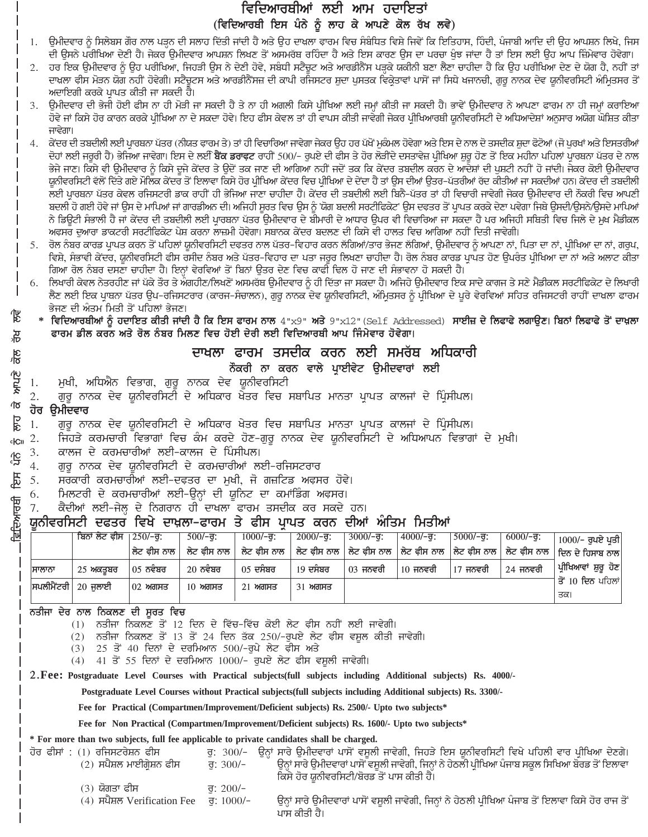## ਵਿਦਿਆਰਥੀਆਂ ਲਈ ਆਮ ਹਦਾਇਤਾਂ (ਵਿਦਿਆਰਥੀ ਇਸ ਪੰਨੇ ਨੂੰ ਲਾਹ ਕੇ ਆਪਣੇ ਕੋਲ ਰੱਖ ਲਵੇ)

- ਉਮੀਦਵਾਰ ਨੂੰ ਸਿਲੇਬਸ ਗੋਰ ਨਾਲ ਪੜ੍ਹਨ ਦੀ ਸਲਾਹ ਦਿੱਤੀ ਜਾਂਦੀ ਹੈ ਅਤੇ ਉਹ ਦਾਖਲਾ ਫਾਰਮ ਵਿਚ ਸੰਬੰਧਿਤ ਵਿਸ਼ੇ ਜਿਵੇਂ ਕਿ ਇਤਿਹਾਸ, ਹਿੰਦੀ, ਪੰਜਾਬੀ ਆਦਿ ਦੀ ਉਹ ਆਪਸ਼ਨ ਲਿਖੇ, ਜਿਸ 1. ਦੀ ਉਸਨੇ ਪਰੀਖਿਆ ਦੇਣੀ ਹੈ। ਜੇਕਰ ਉਮੀਦਵਾਰ ਆਪਸ਼ਨ ਲਿਖਣ ਤੋਂ ਅਸਮਰੱਥ ਰਹਿੰਦਾ ਹੈ ਅਤੇ ਇਸ ਕਾਰਣ ਉਸ ਦਾ ਪਰਚਾ ਖੁੰਝ ਜਾਂਦਾ ਹੈ ਤਾਂ ਇਸ ਲਈ ਉਹ ਆਪ ਜ਼ਿੰਮੇਵਾਰ ਹੋਵੇਗਾ।
- ਹਰ ਇਕ ਉਮੀਦਵਾਰ ਨੂੰ ਉਹ ਪਰੀਖਿਆ, ਜਿਹੜੀ ਉਸ ਨੇ ਦੇਣੀ ਹੋਵੇ, ਸਬੰਧੀ ਸਟੈਚੂਟ ਅਤੇ ਆਰਡੀਨੈਂਸ ਪੜ੍ਹਕੇ ਯਕੀਨੀ ਬਣਾ ਲੈਣਾ ਚਾਹੀਦਾ ਹੈ ਕਿ ਉਹ ਪਰੀਖਿਆ ਦੇਣ ਦੇ ਯੋਗ ਹੈ, ਨਹੀਂ ਤਾਂ  $2.$ ਦਾਖ਼ਲਾ ਫੀਸ ਮੋੜਨ ਯੋਗ ਨਹੀਂ ਹੋਵੇਗੀ। ਸਟੈਚੂਟਸ ਅਤੇ ਆਰਡੀਨੈਂਸਜ਼ ਦੀ ਕਾਪੀ ਰਜਿਸਟਰ ਸ਼ੁਦਾ ਪੁਸਤਕ ਵਿਕ੍ਰੇਤਾਵਾਂ ਪਾਸੋਂ ਜਾਂ ਸਿਧੇ ਖਜਾਨਚੀ, ਗੁਰੂ ਨਾਨਕ ਦੇਵ ਯੂਨੀਵਰਸਿਟੀ ਅੰਮ੍ਰਿਤਸਰ ਤੋਂ ਅਦਾਇਗੀ ਕਰਕੇ ਪ੍ਰਾਪਤ ਕੀਤੀ ਜਾ ਸਕਦੀ ਹੈ।
- ਉਮੀਦਵਾਰ ਦੀ ਭੇਜੀ ਹੋਈ ਫੀਸ ਨਾ ਹੀ ਮੋੜੀ ਜਾ ਸਕਦੀ ਹੈ ਤੇ ਨਾ ਹੀ ਅਗਲੀ ਕਿਸੇ ਪੀਖਿਆ ਲਈ ਜਮ੍ਹਾਂ ਕੀਤੀ ਜਾ ਸਕਦੀ ਹੈ। ਭਾਵੇਂ ਉਮੀਦਵਾਰ ਨੇ ਆਪਣਾ ਫਾਰਮ ਨਾ ਹੀ ਜਮ੍ਹਾਂ ਕਰਾਇਆ ਹੋਵੇ ਜਾਂ ਕਿਸੇ ਹੋਰ ਕਾਰਨ ਕਰਕੇ ਪ੍ਰੀਖਿਆ ਨਾ ਦੇ ਸਕਦਾ ਹੋਵੇ। ਇਹ ਫੀਸ ਕੇਵਲ ਤਾਂ ਹੀ ਵਾਪਸ ਕੀਤੀ ਜਾਵੇਗੀ ਜੇਕਰ ਪ੍ਰੀਖਿਆਰਥੀ ਯੂਨੀਵਰਸਿਟੀ ਦੇ ਅਧਿਆਦੇਸ਼ਾਂ ਅਨੁਸਾਰ ਅਯੋਗ ਘੋਸ਼ਿਤ ਕੀਤਾ ਜਾਵੇਗਾ।
- ਕੇਂਦਰ ਦੀ ਤਬਦੀਲੀ ਲਈ ਪ੍ਰਾਰਬਨਾ ਪੱਤਰ (ਨੀਯਤ ਫਾਰਮ ਤੇ) ਤਾਂ ਹੀ ਵਿਚਾਰਿਆ ਜਾਵੇਗਾ ਜੇਕਰ ਉਹ ਹਰ ਪੱਖੋਂ ਮੁਕੰਮਲ ਹੋਵੇਗਾ ਅਤੇ ਇਸ ਦੇ ਨਾਲ ਦੋ ਤਸਦੀਕ ਸ਼ੁਦਾ ਫੋਟੋਆਂ (ਜੋ ਪੁਰਖਾਂ ਅਤੇ ਇਸਤਰੀਆਂ 4. ਦੋਹਾਂ ਲਈ ਜਰੂਰੀ ਹੈ) ਭੇਜਿਆ ਜਾਵੇਗਾ। ਇਸ ਦੇ ਲਈ **ਬੈਂਕ ਡਰਾਫਟ** ਰਾਹੀਂ 500/- ਰੁਪਏ ਦੀ ਫੀਸ ਤੇ ਹੋਰ ਲੋੜੀਂਦੇ ਦਸਤਾਵੇਜ਼ ਪ੍ਰੀਖਿਆ ਸ਼ੁਰੂ ਹੋਣ ਤੋਂ ਇਕ ਮਹੀਨਾ ਪਹਿਲਾਂ ਪਾਰਥਨਾ ਪੱਤਰ ਦੇ ਨਾਲ ਭੇਜੇ ਜਾਣ। ਕਿਸੇ ਵੀ ਉਮੀਦਵਾਰ ਨੂੰ ਕਿਸੇ ਦੂਜੇ ਕੇਂਦਰ ਤੇ ਉਦੋਂ ਤਕ ਜਾਣ ਦੀ ਆਗਿਆ ਨਹੀਂ ਜਦੋਂ ਤਕ ਕਿ ਕੇਂਦਰ ਤਬਦੀਲ ਕਰਨ ਦੇ ਆਦੇਸ਼ਾਂ ਦੀ ਪੁਸ਼ਟੀ ਨਹੀਂ ਹੋ ਜਾਂਦੀ। ਜੇਕਰ ਕੋਈ ਉਮੀਦਵਾਰ ਯੂਨੀਵਰਸਿਟੀ ਵੱਲੋਂ ਦਿੱਤੇ ਗਏ ਮੌਲਿਕ ਕੇਂਦਰ ਤੋਂ ਇਲਾਵਾ ਕਿਸੇ ਹੋਰ ਪ੍ਰੀਖਿਆ ਕੇਂਦਰ ਵਿਚ ਪ੍ਰੀਖਿਆ ਦੇ ਦੇਂਦਾ ਹੈ ਤਾਂ ਉਸ ਦੀਆਂ ਉਤਰ–ਪੱਤਰੀਆਂ ਰੱਦ ਕੀਤੀਆਂ ਜਾ ਸਕਦੀਆਂ ਹਨ। ਕੇਂਦਰ ਦੀ ਤਬਦੀਲੀ ਲਈ ਪਾਰਥਨਾ ਪੱਤਰ ਕੇਵਲ ਰਜਿਸਟਰੀ ਡਾਕ ਰਾਹੀਂ ਹੀ ਭੇਜਿਆ ਜਾਣਾ ਚਾਹੀਦਾ ਹੈ। ਕੇਂਦਰ ਦੀ ਤਬਦੀਲੀ ਲਈ ਬਿਨੈ-ਪੱਤਰ ਤਾਂ ਹੀ ਵਿਚਾਰੀ ਜਾਵੇਗੀ ਜੇਕਰ ਉਮੀਦਵਾਰ ਦੀ ਨੌਕਰੀ ਵਿਚ ਆਪਣੀ ਬਦਲੀ ਹੋ ਗਈ ਹੋਵੇ ਜਾਂ ਉਸ ਦੇ ਮਾਪਿਆਂ ਜਾਂ ਗਾਰਡੀਅਨ ਦੀ। ਅਜਿਹੀ ਸੂਰਤ ਵਿਚ ਉਸ ਨੂੰ 'ਯੋਗ ਬਦਲੀ ਸਰਟੀਫਿਕੇਟ' ਉਸ ਦਫਤਰ ਤੋਂ ਪ੍ਰਾਪਤ ਕਰਕੇ ਦੇਣਾ ਪਵੇਗਾ ਜਿਥੇ ਉਸਦੀ/ਉਸਨੇ/ਉਸਦੇ ਮਾਪਿਆਂ ਨੇ ਡਿਊਟੀ ਸੰਭਾਲੀ ਹੈ ਜਾਂ ਕੇਂਦਰ ਦੀ ਤਬਦੀਲੀ ਲਈ ਪਾਰਥਨਾ ਪੱਤਰ ਉਮੀਦਵਾਰ ਦੇ ਬੀਮਾਰੀ ਦੇ ਆਧਾਰ ਉਪਰ ਵੀ ਵਿਚਾਰਿਆ ਜਾ ਸਕਦਾ ਹੈ ਪਰ ਅਜਿਹੀ ਸਥਿਤੀ ਵਿਚ ਜਿਲੇ ਦੇ ਮੁਖ ਮੈਡੀਕਲ ਅਫਸਰ ਦੁਆਰਾ ਡਾਕਟਰੀ ਸਰਟੀਫਿਕੇਟ ਪੇਸ਼ ਕਰਨਾ ਲਾਜ਼ਮੀ ਹੋਵੇਗਾ। ਸਥਾਨਕ ਕੇਂਦਰ ਬਦਲਣ ਦੀ ਕਿਸੇ ਵੀ ਹਾਲਤ ਵਿਚ ਆਗਿਆ ਨਹੀਂ ਦਿਤੀ ਜਾਵੇਗੀ।
- ਰੋਲ ਨੰਬਰ ਕਾਰਡ ਪ੍ਰਾਪਤ ਕਰਨ ਤੋਂ ਪਹਿਲਾਂ ਯੂਨੀਵਰਸਿਟੀ ਦਫਤਰ ਨਾਲ ਪੱਤਰ–ਵਿਹਾਰ ਕਰਨ ਲੱਗਿਆਂ/ਤਾਰ ਭੇਜਣ ਲੱਗਿਆਂ, ਉਮੀਦਵਾਰ ਨੂੰ ਆਪਣਾ ਨਾਂ, ਪਿਤਾ ਦਾ ਨਾਂ, ਪੀਖਿਆ ਦਾ ਨਾਂ, ਗਰੂਪ, 5. ਵਿਸ਼ੇ, ਸੰਭਾਵੀ ਕੇਂਦਰ, ਯੂਨੀਵਰਸਿਟੀ ਫੀਸ ਰਸੀਦ ਨੰਬਰ ਅਤੇ ਪੱਤਰ-ਵਿਹਾਰ ਦਾ ਪਤਾ ਜਰੂਰ ਲਿਖਣਾ ਚਾਹੀਦਾ ਹੈ। ਰੋਲ ਨੰਬਰ ਕਾਰਡ ਪ੍ਰਾਪਤ ਹੋਣ ਉਪਰੰਤ ਪ੍ਰੀਖਿਆ ਦਾ ਨਾਂ ਅਤੇ ਅਲਾਟ ਕੀਤਾ ਗਿਆ ਰੋਲ ਨੰਬਰ ਦਸਣਾ ਚਾਹੀਦਾ ਹੈ। ਇਨ੍ਹਾਂ ਵੇਰਵਿਆਂ ਤੋਂ ਬਿਨਾਂ ਉਤਰ ਦੇਣ ਵਿਚ ਕਾਫੀ ਢਿਲ ਹੋ ਜਾਣ ਦੀ ਸੰਭਾਵਨਾ ਹੋ ਸਕਦੀ ਹੈ।
- ਲਿਖਾਰੀ ਕੇਵਲ ਨੇਤਰਹੀਣ ਜਾਂ ਪੱਕੇ ਤੌਰ ਤੇ ਅੰਗਹੀਣ/ਲਿਖਣੋਂ ਅਸਮਰੱਥ ਉਮੀਦਵਾਰ ਨੂੰ ਹੀ ਦਿੱਤਾ ਜਾ ਸਕਦਾ ਹੈ। ਅਜਿਹੇ ਉਮੀਦਵਾਰ ਇਕ ਸਾਦੇ ਕਾਗ਼ਜ ਤੇ ਸਣੇ ਮੈਡੀਕਲ ਸਰਟੀਫਿਕੇਟ ਦੇ ਲਿਖਾਰੀ 6. ਲੈਣ ਲਈ ਇਕ ਪ੍ਰਾਥਨਾ ਪੱਤਰ ਉਪ-ਰਜਿਸਟਰਾਰ (ਕਾਰਜ-ਸੰਚਾਲਨ), ਗੁਰੂ ਨਾਨਕ ਦੇਵ ਯੂਨੀਵਰਸਿਟੀ, ਅੰਮ੍ਰਿਤਸਰ ਨੂੰ ਪ੍ਰੀਖਿਆ ਦੇ ਪੂਰੇ ਵੇਰਵਿਆਂ ਸਹਿਤ ਰਜਿਸਟਰੀ ਰਾਹੀਂ ਦਾਖ਼ਲਾ ਫਾਰਮ ਭੇਜਣ ਦੀ ਅੰਤਮ ਮਿਤੀ ਤੋਂ ਪਹਿਲਾਂ ਭੇਜਣ।
- ਵਿਦਿਆਰਥੀਆਂ ਨੂੰ ਹਦਾਇਤ ਕੀਤੀ ਜਾਂਦੀ ਹੈ ਕਿ ਇਸ ਫਾਰਮ ਨਾਲ 4"x9" ਅਤੇ 9"x12"(Self Addressed) ਸਾਈਜ਼ ਦੇ ਲਿਫਾਫੇ ਲਗਾਉਣ। ਬਿਨਾਂ ਲਿਫਾਫੇ ਤੋਂ ਦਾਖ਼ਲਾ ਫਾਰਮ ਡੀਲ ਕਰਨ ਅਤੇ ਰੋਲ ਨੰਬਰ ਮਿਲਣ ਵਿਚ ਹੋਈ ਦੇਰੀ ਲਈ ਵਿਦਿਆਰਥੀ ਆਪ ਜਿੰਮੇਵਾਰ ਹੋਵੇਗਾ।

## ਦਾਖਲਾ ਫਾਰਮ ਤਸਦੀਕ ਕਰਨ ਲਈ ਸਮਰੱਥ ਅਧਿਕਾਰੀ

### ਨੌਕਰੀ ਨਾ ਕਰਨ ਵਾਲੇ ਪਾਈਵੇਟ ੳਮੀਦਵਾਰਾਂ ਲਈ

- ਮੁਖੀ, ਅਧਿਐਨ ਵਿਭਾਗ, ਗੁਰੂ ਨਾਨਕ ਦੇਵ ਯੂਨੀਵਰਸਿਟੀ 1.
- $\overline{2}$ . ਗਰੂ ਨਾਨਕ ਦੇਵ ਯੂਨੀਵਰਸਿਟੀ ਦੇ ਅਧਿਕਾਰ ਖੇਤਰ ਵਿਚ ਸਥਾਪਿਤ ਮਾਨਤਾ ਪਾਪਤ ਕਾਲਜਾਂ ਦੇ ਪਿੰਸੀਪਲ।

### ਹੋਰ ਉਮੀਦਵਾਰ

货

यू

 $\frac{28}{6}$ 

**Ande** 

 $\sqrt{2}$ 

छालु

<u>ਦਰਿਆਰਥੀ</u>

- 1. ਗੁਰੂ ਨਾਨਕ ਦੇਵ ਯੂਨੀਵਰਸਿਟੀ ਦੇ ਅਧਿਕਾਰ ਖੇਤਰ ਵਿਚ ਸਥਾਪਿਤ ਮਾਨਤਾ ਪ੍ਰਾਪਤ ਕਾਲਜਾਂ ਦੇ ਪ੍ਰਿੰਸੀਪਲ।
- ਜਿਹੜੇ ਕਰਮਚਾਰੀ ਵਿਭਾਗਾਂ ਵਿਚ ਕੰਮ ਕਰਦੇ ਹੋਣ-ਗਰੂ ਨਾਨਕ ਦੇਵ ਯੂਨੀਵਰਸਿਟੀ ਦੇ ਅਧਿਆਪਨ ਵਿਭਾਗਾਂ ਦੇ ਮਖੀ। 2.  $c$ <sub>ICII</sub>
- ਕਾਲਜ ਦੇ ਕਰਮਚਾਰੀਆਂ ਲਈ-ਕਾਲਜ ਦੇ ਪਿੰਸੀਪਲ। 3. <u>ုံင</u>ှ
- ਗੁਰੂ ਨਾਨਕ ਦੇਵ ਯੂਨੀਵਰਸਿਟੀ ਦੇ ਕਰਮਚਾਰੀਆਂ ਲਈ-ਰਜਿਸਟਰਾਰ  $4.$  $\mathbb{E}$ 
	- 5. ਸਰਕਾਰੀ ਕਰਮਚਾਰੀਆਂ ਲਈ-ਦਫ਼ਤਰ ਦਾ ਮੁਖੀ, ਜੋ ਗਜ਼ਟਿਡ ਅਫ਼ਸਰ ਹੋਵੇ।
	- ਮਿਲਟਰੀ ਦੇ ਕਰਮਚਾਰੀਆਂ ਲਈ-ਉਨ੍ਹਾਂ ਦੀ ਯੁਨਿਟ ਦਾ ਕਮਾਂਡਿੰਗ ਅਫਸਰ। 6.
	- ਕੈਦੀਆਂ ਲਈ-ਜੇਲ੍ਹ ਦੇ ਨਿਗਰਾਨ ਹੀ ਦਾਖਲਾ ਫਾਰਮ ਤਸਦੀਕ ਕਰ ਸਕਦੇ ਹਨ। 7.

## ਯੂਨੀਵਰਸਿਟੀ ਦਫਤਰ ਵਿਖੇ ਦਾਖ਼ਲਾ–ਫਾਰਮ ਤੇ ਫੀਸ ਪ੍ਰਾਪਤ ਕਰਨ ਦੀਆਂ ਅੰਤਿਮ ਮਿਤੀਆਂ

|        | ਬਿਨਾਂ ਲੇਟ ਫੀਸ      | $1250/-$ ਰ:        | $500/-$ ਰ: | $1000/-$ ਰ:                 | $2000/-$ ਰ: | $3000/-$ ਰ: | $4000/-$ ਰ: | $5000/-$ ਰ: | $6000/-$ ਰ: | $1000/-$ ਰੁਪਏ ਪਤੀ                                                                        |
|--------|--------------------|--------------------|------------|-----------------------------|-------------|-------------|-------------|-------------|-------------|------------------------------------------------------------------------------------------|
|        |                    | ∣ਲੇਟ ਫੀਸ ਨਾਲ ∣     |            | ਲੇਟ ਫੀਸ ਨਾਲ ॑ ਲੇਟ ਫੀਸ ਨਾਲ │ |             |             |             |             |             | । ਲੇਟ ਫੀਸ ਨਾਲ   ਲੇਟ ਫੀਸ ਨਾਲ   ਲੇਟ ਫੀਸ ਨਾਲ   ਲੇਟ ਫੀਸ ਨਾਲ   ਲੇਟ ਫੀਸ ਨਾਲ   ਦਿਨ ਦੇ ਹਿਸਾਬ ਨਾਲ |
| ਸਾਲਾਨਾ | 25 ਅਕਤਬਰ           | $\sqrt{05}$ ਨਵੰਬਰ  | 20 ਨਵੰਬਰ   | 05 ਦਸੰਬਰ                    | 19 ਦਸੰਬਰ    | $03$ ਜਨਵਰੀ  | $10$ ਜਨਵਰੀ  | 17 ਜਨਵਰੀ    | 24 ਜਨਵਰੀ    | ਪ੍ਰੀਖਿਆਵਾਂ ਸ਼ੁਰੂ ਹੋਣ                                                                     |
|        | ਸਪਲੀਮੈਂਟਰੀ 20 ਜਲਾਈ | $ 02 \rangle$ ਅਗਸਤ | $10$ ਅਗਸਤ  | ਅਗਸਤ<br>21                  | 31 ਅਗਸਤ     |             |             |             |             | ਂਤੋਂ 10 ਦਿਨ ਪਹਿਲਾਂ <sup> </sup>                                                          |
|        |                    |                    |            |                             |             |             |             |             |             | ਤਕ।                                                                                      |

ਨਤੀਜਾ ਦੇਰ ਨਾਲ ਨਿਕਲਣ ਦੀ ਸੂਰਤ ਵਿਚ

(1) ਨਤੀਜਾ ਨਿਕਲਣ ਤੋਂ 12 ਦਿਨ ਦੇ ਵਿੱਚ-ਵਿੱਚ ਕੋਈ ਲੇਟ ਫ਼ੀਸ ਨਹੀਂ ਲਈ ਜਾਵੇਗੀ।

 $(2)$  ਨਤੀਜਾ ਨਿਕਲਣ ਤੋਂ 13 ਤੋਂ 24 ਦਿਨ ਤੱਕ 250/-ਰੁਪਏ ਲੇਟ ਫੀਸ ਵਸੁਲ ਕੀਤੀ ਜਾਵੇਗੀ।

- $(3)$  25 ਤੋਂ 40 ਦਿਨਾਂ ਦੇ ਦਰਮਿਆਨ 500/-ਰੁਪੇ ਲੇਟ ਫ਼ੀਸ ਅਤੇ
- $(4)$  41 ਤੋਂ 55 ਦਿਨਾਂ ਦੇ ਦਰਮਿਆਨ 1000/- ਰੁਪਏ ਲੇਟ ਫੀਸ ਵਸੂਲੀ ਜਾਵੇਗੀ।

2. Fee: Postgraduate Level Courses with Practical subjects (full subjects including Additional subjects) Rs. 4000/-

Postgraduate Level Courses without Practical subjects(full subjects including Additional subjects) Rs. 3300/-

Fee for Practical (Compartmen/Improvement/Deficient subjects) Rs. 2500/- Upto two subjects\*

Fee for Non Practical (Compartmen/Improvement/Deficient subjects) Rs. 1600/- Upto two subjects\*

\* For more than two subjects, full fee applicable to private candidates shall be charged.

| ਹੋਰ ਫੀਸਾਂ : (1) ਰਜਿਸਟਰੇਸ਼ਨ ਫੀਸ |             | ਰੂ: 300/- ਉਨ੍ਹਾਂ ਸਾਰੇ ਉਮੀਦਵਾਰਾਂ ਪਾਸੋਂ ਵਸੂਲੀ ਜਾਵੇਗੀ, ਜਿਹੜੇ ਇਸ ਯੂਨੀਵਰਸਿਟੀ ਵਿਖੇ ਪਹਿਲੀ ਵਾਰ ਪ੍ਰੀਖਿਆ ਦੇਣਗੇ। |
|--------------------------------|-------------|-------------------------------------------------------------------------------------------------------|
| (2) ਸਪੈਸ਼ਲ ਮਾਈਗੇਸ਼ਨ ਫੀਸ        | ਰ: $300/-$  | ਉਨ੍ਹਾਂ ਸਾਰੇ ਉਮੀਦਵਾਰਾਂ ਪਾਸੋਂ ਵਸੂਲੀ ਜਾਵੇਗੀ, ਜਿਨ੍ਹਾਂ ਨੇ ਹੇਠਲੀ ਪੀਖਿਆ ਪੰਜਾਬ ਸਕੂਲ ਸਿਖਿਆ ਬੋਰਡ ਤੋਂ ਇਲਾਵਾ      |
|                                |             | ਕਿਸੇ ਹੋਰ ਯੂਨੀਵਰਸਿਟੀ/ਬੋਰਡ ਤੋਂ ਪਾਸ ਕੀਤੀ ਹੈ।                                                             |
| $(3)$ ਸ਼ੋਗਤਾ ਫ਼ੀਸ              | $\pi$ 200/- |                                                                                                       |

- (4)  $\overline{H}$ यैमल Verification Fee  $\overline{g}$ : 1000/-
- ਉਨ੍ਹਾਂ ਸਾਰੇ ਉਮੀਦਵਾਰਾਂ ਪਾਸੋਂ ਵਸੂਲੀ ਜਾਵੇਗੀ, ਜਿਨ੍ਹਾਂ ਨੇ ਹੇਠਲੀ ਪ੍ਰੀਖਿਆ ਪੰਜਾਬ ਤੋਂ ਇਲਾਵਾ ਕਿਸੇ ਹੋਰ ਰਾਜ ਤੋਂ ਪਾਸ ਕੀਤੀ ਹੈ।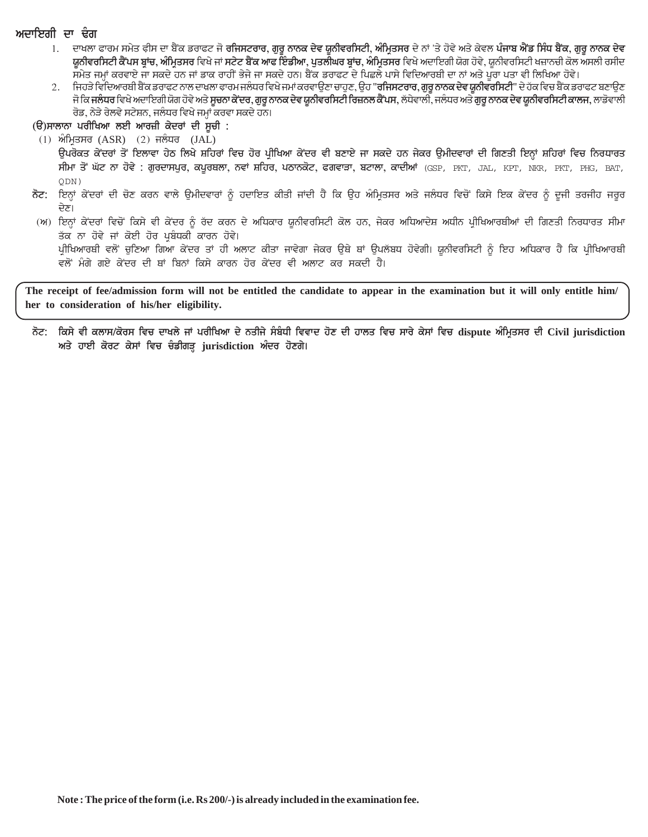#### ਅਦਾਇਗੀ ਦਾ **ਢੰ**ਗ

- 1. ਦਾਖਲਾ ਫਾਰਮ ਸਮੇਤ ਫੀਸ ਦਾ ਬੈਂਕ ਡਰਾਫਟ ਜੋ <mark>ਰਜਿਸਟਰਾਰ, ਗਰੂ ਨਾਨਕ ਦੇਵ ਯੂਨੀਵਰਸਿਟੀ, ਅੰਮਿਤਸਰ</mark> ਦੇ ਨਾਂ 'ਤੇ ਹੋਵੇ ਅਤੇ ਕੇਵਲ <mark>ਪੰਜਾਬ ਐਂਡ ਸਿੰਧ ਬੈਂਕ, ਗਰੂ ਨਾਨਕ ਦੇਵ</mark> <mark>ਯੂਨੀਵਰਸਿਟੀ ਕੈਂਪਸ ਬ੍ਰਾਂਚ, ਅੰਮ੍ਰਿਤਸਰ</mark> ਵਿਖੇ ਜਾਂ **ਸਟੇਟ ਬੈਂਕ ਆਫ ਇੰਡੀਆ, ਪੁਤਲੀਘਰ ਬ੍ਰਾਂਚ, ਅੰਮ੍ਰਿਤਸਰ** ਵਿਖੇ ਅਦਾਇਗੀ ਯੋਗ ਹੋਵੇ, ਯੂਨੀਵਰਸਿਟੀ ਖਜ਼ਾਨਚੀ ਕੋਲ ਅਸਲੀ ਰਸੀਦ ਸਮੇਤ ਜਮ੍ਹਾਂ ਕਰਵਾਏ ਜਾ ਸਕਦੇ ਹਨ ਜਾਂ ਡਾਕ ਰਾਹੀਂ ਭੇਜੇ ਜਾ ਸਕਦੇ ਹਨ। ਬੈਂਕ ਡਰਾਫਟ ਦੇ ਪਿਛਲੇ ਪਾਸੇ ਵਿਦਿਆਰਥੀ ਦਾ ਨਾਂ ਅਤੇ ਪੂਰਾ ਪਤਾ ਵੀ ਲਿਖਿਆ ਹੋਵੇ।
- 2. fਜਹੜੇ ਵਿਦਿਆਰਬੀ ਬੈਂਕ ਡਰਾਫਟ ਨਾਲ ਦਾਖ਼ਲਾ ਫਾਰਮ ਜਲੰਧਰ ਵਿਖੇ ਜਮਾਂ ਕਰਵਾਉਣਾ ਚਾਹੁਣ, ਉਹ "**ਰਜਿਸਟਰਾਰ, ਗੁਰੁ ਨਾਨਕ ਦੇਵ ਯੁਨੀਵਰਸਿਟੀ**" ਦੇ ਹੱਕ ਵਿਚ ਬੈਂਕ ਡਰਾਫਟ ਬਣਾਉਣ ਜੋ ਕਿ **ਜਲੰਧਰ** ਵਿਖੇ ਅਦਾਇਗੀ ਯੋਗ ਹੋਵੇ ਅਤੇ **ਸੂਚਨਾ ਕੇਂਦਰ, ਗੁਰੂ ਨਾਨਕ ਦੇਵ ਯੂਨੀਵਰਸਿਟੀ ਰਿਜ਼ਨਲ ਕੈਂਪਸ,** ਲੱਧੇਵਾਲੀ, ਜਲੰਧਰ ਅਤੇ **ਗੁਰੂ ਨਾਨਕ ਦੇਵ ਯੂਨੀਵਰਸਿਟੀ ਕਾਲਜ,** ਲਾਡੋਵਾਲੀ ਰੋਡ, ਨੇੜੇ ਰੇਲਵੇ ਸਟੇਸ਼ਨ, ਜਲੰਧਰ ਵਿਖੇ ਜਮ੍ਹਾਂ ਕਰਵਾ ਸਕਦੇ ਹਨ।

(ੳ)ਸਾਲਾਨਾ ਪਰੀਖਿਆ ਲਈ ਆਰਜ਼ੀ ਕੇਦਰਾਂ ਦੀ ਸੂਚੀ **:** 

 $(1)$  ਅੰਮ੍ਰਿਤਸਰ  $(ASR)$   $(2)$  ਜਲੰਧਰ  $(JAL)$ 

ੳਪਰੋਕਤ ਕੇਂਦਰਾਂ ਤੋਂ ਇਲਾਵਾ ਹੇਠ ਲਿਖੇ ਸ਼ਹਿਰਾਂ ਵਿਚ ਹੋਰ ਪੀਖਿਆ ਕੇਂਦਰ ਵੀ ਬਣਾਏ ਜਾ ਸਕਦੇ ਹਨ ਜੇਕਰ ੳਮੀਦਵਾਰਾਂ ਦੀ ਗਿਣਤੀ ਇਨ੍ਹਾਂ ਸ਼ਹਿਰਾਂ ਵਿਚ ਨਿਰਧਾਰਤ ਸੀਮਾ ਤੋਂ ਘੱਟ ਨਾ ਹੋਵੇ : ਗੁਰਦਾਸਪੁਰ, ਕਪੂਰਥਲਾ, ਨਵਾਂ ਸ਼ਹਿਰ, ਪਠਾਨਕੋਟ, ਫਗਵਾੜਾ, ਬਟਾਲਾ, ਕਾਦੀਆਂ (GSP, PKT, JAL, KPT, NKR, PKT, PHG, BAT, QDN)

ਨੋਟ: ਇਨ੍ਹਾਂ ਕੇਂਦਰਾਂ ਦੀ ਚੋਣ ਕਰਨ ਵਾਲੇ ਉਮੀਦਵਾਰਾਂ ਨੂੰ ਹਦਾਇਤ ਕੀਤੀ ਜਾਂਦੀ ਹੈ ਕਿ ਉਹ ਅੰਮ੍ਰਿਤਸਰ ਅਤੇ ਜਲੰਧਰ ਵਿਚੋਂ ਕਿਸੇ ਇਕ ਕੇਂਦਰ ਨੂੰ ਦੂਜੀ ਤਰਜੀਹ ਜਰੂਰ ਦੇਣ।

#### (ਅ) ਇਨ੍ਹਾਂ ਕੇਂਦਰਾਂ ਵਿਚੋਂ ਕਿਸੇ ਵੀ ਕੇਂਦਰ ਨੂੰ ਰੱਦ ਕਰਨ ਦੇ ਅਧਿਕਾਰ ਯੂਨੀਵਰਸਿਟੀ ਕੋਲ ਹਨ, ਜੇਕਰ ਅਧਿਆਦੇਸ਼ ਅਧੀਨ ਪੀਖਿਆਰਥੀਆਂ ਦੀ ਗਿਣਤੀ ਨਿਰਧਾਰਤ ਸੀਮਾ ਤੱਕ ਨਾ ਹੋਵੇ ਜਾਂ ਕੋਈ ਹੋਰ ਪਬੰਧਕੀ ਕਾਰਨ ਹੋਵੇ।

ਪ੍ਰੀਖਿਆਰਥੀ ਵਲੋਂ ਚੁਣਿਆ ਗਿਆ ਕੇਂਦਰ ਤਾਂ ਹੀ ਅਲਾਟ ਕੀਤਾ ਜਾਵੇਗਾ ਜੇਕਰ ਉਥੇ ਥਾਂ ਉਪਲੱਬਧ ਹੋਵੇਗੀ। ਯੂਨੀਵਰਸਿਟੀ ਨੂੰ ਇਹ ਅਧਿਕਾਰ ਹੈ ਕਿ ਪ੍ਰੀਖਿਆਰਥੀ ਵਲੋਂ ਮੰਗੇ ਗਏ ਕੇਂਦਰ ਦੀ ਥਾਂ ਬਿਨਾਂ ਕਿਸੇ ਕਾਰਨ ਹੋਰ ਕੇਂਦਰ ਵੀ ਅਲਾਟ ਕਰ ਸਕਦੀ ਹੈ।

**The receipt of fee/admission form will not be entitled the candidate to appear in the examination but it will only entitle him/ her to consideration of his/her eligibility.**

**not: iksy vI kl`s/kors ivc d`Kly j~ prIiKE` dy nqIjy sMbMDI ivv`d hox dI h`lq ivc s`ry kys~ ivc dispute EμimRqsr dI Civil jurisdiction**  $m$ ਤੇ ਹਾਈ ਕੋਰਟ ਕੇਸਾਂ ਵਿਚ ਚੰਡੀਗੜ੍ਹ jurisdiction ਅੰਦਰ ਹੋਣਗੇ।